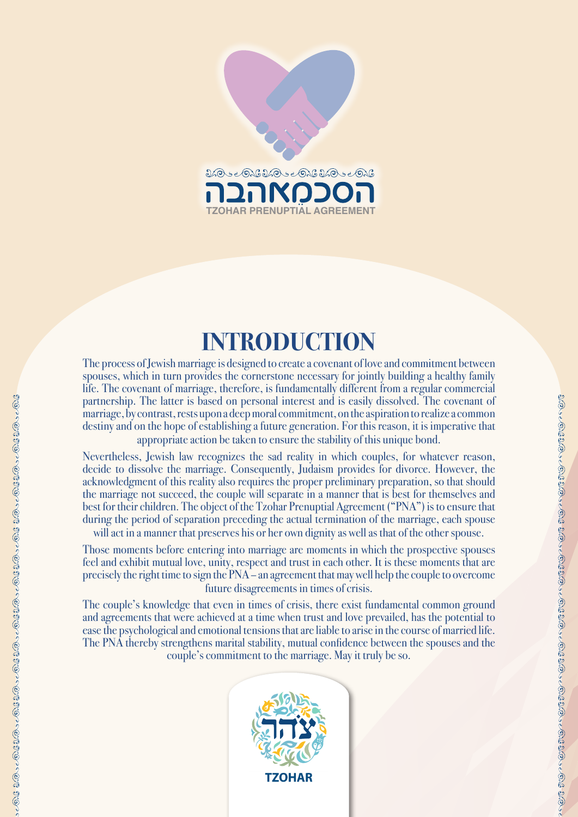

# **INTRODUCTION**

The process of Jewish marriage is designed to create a covenant of love and commitment between spouses, which in turn provides the cornerstone necessary for jointly building a healthy family life. The covenant of marriage, therefore, is fundamentally different from a regular commercial partnership. The latter is based on personal interest and is easily dissolved. The covenant of marriage, by contrast, rests upon a deep moral commitment, on the aspiration to realize a common destiny and on the hope of establishing a future generation. For this reason, it is imperative that appropriate action be taken to ensure the stability of this unique bond.

Nevertheless, Jewish law recognizes the sad reality in which couples, for whatever reason, decide to dissolve the marriage. Consequently, Judaism provides for divorce. However, the acknowledgment of this reality also requires the proper preliminary preparation, so that should the marriage not succeed, the couple will separate in a manner that is best for themselves and best for their children. The object of the Tzohar Prenuptial Agreement ("PNA") is to ensure that during the period of separation preceding the actual termination of the marriage, each spouse

will act in a manner that preserves his or her own dignity as well as that of the other spouse.

Those moments before entering into marriage are moments in which the prospective spouses feel and exhibit mutual love, unity, respect and trust in each other. It is these moments that are precisely the right time to sign the PNA – an agreement that may well help the couple to overcome future disagreements in times of crisis.

The couple's knowledge that even in times of crisis, there exist fundamental common ground and agreements that were achieved at a time when trust and love prevailed, has the potential to ease the psychological and emotional tensions that are liable to arise in the course of married life. The PNA thereby strengthens marital stability, mutual confidence between the spouses and the couple's commitment to the marriage. May it truly be so.

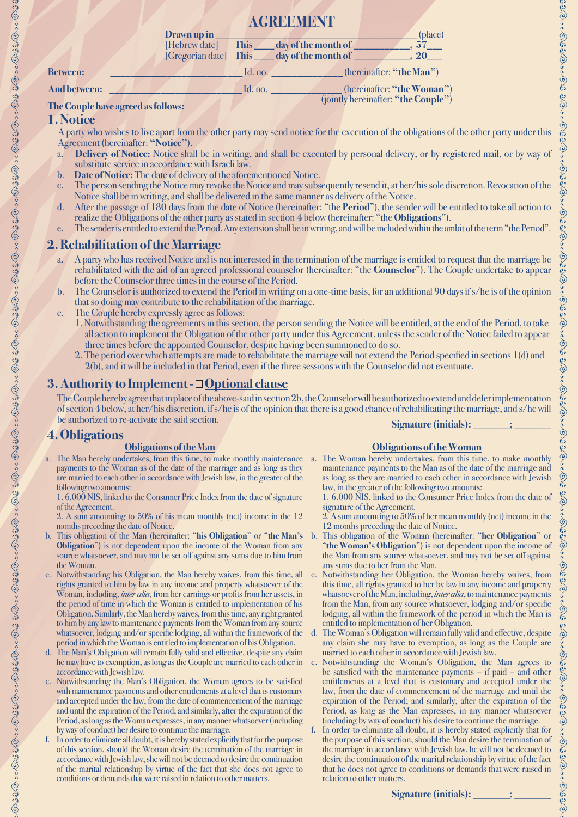|                                    |                       | <b>AGREEMENT</b> |                     |                                     |
|------------------------------------|-----------------------|------------------|---------------------|-------------------------------------|
|                                    | Drawn up in           |                  |                     | (place)                             |
|                                    | [Hebrew date]         | <b>This</b>      | day of the month of | .57                                 |
|                                    | [Gregorian date] This |                  | day of the month of |                                     |
| <b>Between:</b>                    |                       | Id. no.          |                     | (hereinafter: "the Man")            |
| <b>And between:</b>                |                       | Id. no.          |                     | (hereinafter: "the Woman")          |
| $\sim$ $\sim$ $\sim$ $\sim$ $\sim$ |                       |                  |                     | (jointly hereinafter: "the Couple") |

#### **The Couple have agreed as follows:**

#### **1. Notice**

A party who wishes to live apart from the other party may send notice for the execution of the obligations of the other party under this Agreement (hereinafter: **"Notice"**).

- a. **Delivery of Notice:** Notice shall be in writing, and shall be executed by personal delivery, or by registered mail, or by way of substitute service in accordance with Israeli law.
- b. **Date of Notice:** The date of delivery of the aforementioned Notice.
- c. The person sending the Notice may revoke the Notice and may subsequently resend it, at her/his sole discretion. Revocation of the Notice shall be in writing, and shall be delivered in the same manner as delivery of the Notice.
- d. After the passage of 180 days from the date of Notice (hereinafter: "the **Period**"), the sender will be entitled to take all action to realize the Obligations of the other party as stated in section 4 below (hereinafter: "the **Obligations**").
- e. The sender is entitled to extend the Period. Any extension shall be in writing, and will be included within the ambit of the term "the Period".

## **2. Rehabilitation of the Marriage**

- a. A party who has received Notice and is not interested in the termination of the marriage is entitled to request that the marriage be rehabilitated with the aid of an agreed professional counselor (hereinafter: "the **Counselor**"). The Couple undertake to appear before the Counselor three times in the course of the Period.
- b. The Counselor is authorized to extend the Period in writing on a one-time basis, for an additional 90 days if s/he is of the opinion that so doing may contribute to the rehabilitation of the marriage.
- c. The Couple hereby expressly agree as follows:
	- 1. Notwithstanding the agreements in this section, the person sending the Notice will be entitled, at the end of the Period, to take all action to implement the Obligation of the other party under this Agreement, unless the sender of the Notice failed to appear three times before the appointed Counselor, despite having been summoned to do so.
	- 2. The period over which attempts are made to rehabilitate the marriage will not extend the Period specified in sections 1(d) and 2(b), and it will be included in that Period, even if the three sessions with the Counselor did not eventuate.

#### **3. Authority to Implement - Optional clause**

The Couple hereby agree that in place of the above-said in section 2b, the Counselor will be authorized to extend and defer implementation of section 4 below, at her/his discretion, if s/he is of the opinion that there is a good chance of rehabilitating the marriage, and s/he will be authorized to re-activate the said section. **Signature (initials):** 

#### **4. Obligations**

\$\$\@^^@Y\$\$\@?^^@Y\$\$\@^^@Y\$\$\@^^@Y\$\$\@^^@Y\$\$\@^^^@Y\$\$\@^^^@Y\$\$\@^^^@Y\$\$\@^^^@Y\$\$\@^^^@Y\$\$\@^^^@Y\$\$\@^^^@Y\$\$\@^^@Y\$\$\@^^

#### **Obligations of the Man**

a. The Man hereby undertakes, from this time, to make monthly maintenance a. The Woman hereby undertakes, from this time, to make monthly payments to the Woman as of the date of the marriage and as long as they are married to each other in accordance with Jewish law, in the greater of the following two amounts:

1. 6,000 NIS, linked to the Consumer Price Index from the date of signature of the Agreement.

2. A sum amounting to 50% of his mean monthly (net) income in the 12 months preceding the date of Notice.

- b. This obligation of the Man (hereinafter: "**his Obligation**" or "**the Man's Obligation**") is not dependent upon the income of the Woman from any source whatsoever, and may not be set off against any sums due to him from the Woman.
- c. Notwithstanding his Obligation, the Man hereby waives, from this time, all rights granted to him by law in any income and property whatsoever of the Woman, including, *inter alia*, from her earnings or profits from her assets, in the period of time in which the Woman is entitled to implementation of his Obligation. Similarly, the Man hereby waives, from this time, any right granted to him by any law to maintenance payments from the Woman from any source whatsoever, lodging and/or specific lodging, all within the framework of the period in which the Woman is entitled to implementation of his Obligation.
- d. The Man's Obligation will remain fully valid and effective, despite any claim he may have to exemption, as long as the Couple are married to each other in accordance with Jewish law.
- e. Notwithstanding the Man's Obligation, the Woman agrees to be satisfied with maintenance payments and other entitlements at a level that is customary and accepted under the law, from the date of commencement of the marriage and until the expiration of the Period; and similarly, after the expiration of the Period, as long as the Woman expresses, in any manner whatsoever (including by way of conduct) her desire to continue the marriage.
- f. In order to eliminate all doubt, it is hereby stated explicitly that for the purpose of this section, should the Woman desire the termination of the marriage in accordance with Jewish law, she will not be deemed to desire the continuation of the marital relationship by virtue of the fact that she does not agree to conditions or demands that were raised in relation to other matters.

#### **Obligations of the Woman**

maintenance payments to the Man as of the date of the marriage and as long as they are married to each other in accordance with Jewish law, in the greater of the following two amounts:

1. 6,000 NIS, linked to the Consumer Price Index from the date of signature of the Agreement.

- 2. A sum amounting to 50% of her mean monthly (net) income in the 12 months preceding the date of Notice.
- b. This obligation of the Woman (hereinafter: "**her Obligation**" or "**the Woman's Obligation**") is not dependent upon the income of the Man from any source whatsoever, and may not be set off against any sums due to her from the Man.
- c. Notwithstanding her Obligation, the Woman hereby waives, from this time, all rights granted to her by law in any income and property whatsoever of the Man, including, *inter alia*, to maintenance payments from the Man, from any source whatsoever, lodging and/or specific lodging, all within the framework of the period in which the Man is entitled to implementation of her Obligation.
- d. The Woman's Obligation will remain fully valid and effective, despite any claim she may have to exemption, as long as the Couple are married to each other in accordance with Jewish law.
- e. Notwithstanding the Woman's Obligation, the Man agrees to be satisfied with the maintenance payments – if paid – and other entitlements at a level that is customary and accepted under the law, from the date of commencement of the marriage and until the expiration of the Period; and similarly, after the expiration of the Period, as long as the Man expresses, in any manner whatsoever (including by way of conduct) his desire to continue the marriage.
- In order to eliminate all doubt, it is hereby stated explicitly that for the purpose of this section, should the Man desire the termination of the marriage in accordance with Jewish law, he will not be deemed to desire the continuation of the marital relationship by virtue of the fact that he does not agree to conditions or demands that were raised in relation to other matters.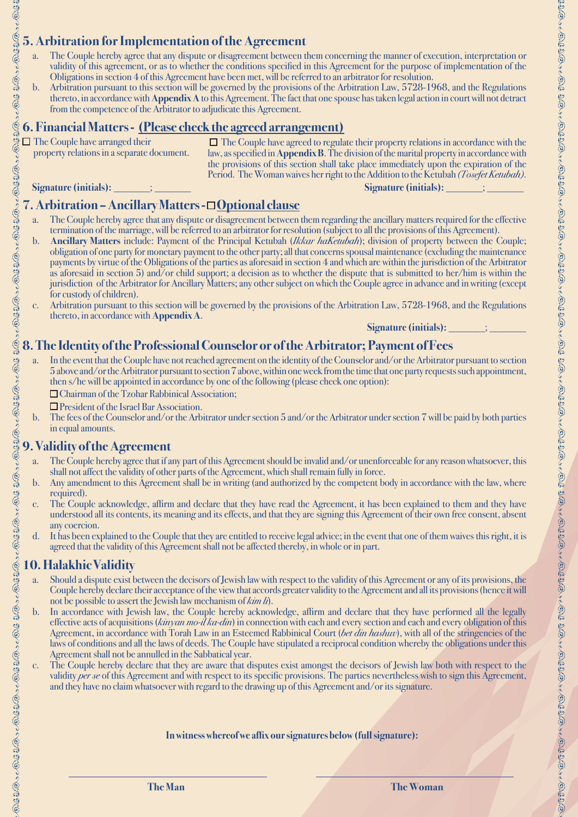## **5. Arbitration for Implementation of the Agreement**

- a. The Couple hereby agree that any dispute or disagreement between them concerning the manner of execution, interpretation or validity of this agreement, or as to whether the conditions specified in this Agreement for the purpose of implementation of the Obligations in section 4 of this Agreement have been met, will be referred to an arbitrator for resolution.
- b. Arbitration pursuant to this section will be governed by the provisions of the Arbitration Law, 5728-1968, and the Regulations thereto, in accordance with **Appendix A** to this Agreement. The fact that one spouse has taken legal action in court will not detract from the competence of the Arbitrator to adjudicate this Agreement.

#### **6. Financial Matters - (Please check the agreed arrangement)**

 $\Box$  The Couple have arranged their property relations in a separate document.

The Couple have agreed to regulate their property relations in accordance with the law, as specified in **Appendix B**. The division of the marital property in accordance with the provisions of this section shall take place immediately upon the expiration of the Period. The Woman waives her right to the Addition to the Ketubah *(Tosefet Ketubah)*.

**Signature (initials): \_\_\_\_\_\_\_; \_\_\_\_\_\_\_ Signature (initials): \_** 

.<br>©

9262626

್ಲಿ ೩೦

**ORS 3.0** 

62920

 $6.1320 - 0.1320 - 0.1320$ 

 $260 - 63320 - 63320 - 6330$ 

 $0.0330 - 0.03$ 

5.1 1/0 : - O.1 1/0 : - O.1 1/0 : - O.1 1/0 : - O.1 1/0 : - O.1 1/0 : 1

## **7. Arbitration – Ancillary Matters - Optional clause**

- a. The Couple hereby agree that any dispute or disagreement between them regarding the ancillary matters required for the effective termination of the marriage, will be referred to an arbitrator for resolution (subject to all the provisions of this Agreement).
- b. **Ancillary Matters** include: Payment of the Principal Ketubah (*Ikkar haKetubah*); division of property between the Couple; obligation of one party for monetary payment to the other party; all that concerns spousal maintenance (excluding the maintenance payments by virtue of the Obligations of the parties as aforesaid in section 4 and which are within the jurisdiction of the Arbitrator as aforesaid in section 5) and/or child support; a decision as to whether the dispute that is submitted to her/him is within the jurisdiction of the Arbitrator for Ancillary Matters; any other subject on which the Couple agree in advance and in writing (except for custody of children).
- c. Arbitration pursuant to this section will be governed by the provisions of the Arbitration Law, 5728-1968, and the Regulations thereto, in accordance with **Appendix A**.

Signature (initials):  $\qquad \qquad ;$ 

## **8. The Identity of the Professional Counselor or of the Arbitrator; Payment of Fees**

- a. In the event that the Couple have not reached agreement on the identity of the Counselor and/or the Arbitrator pursuant to section 5 above and/or the Arbitrator pursuant to section 7 above, within one week from the time that one party requests such appointment, then s/he will be appointed in accordance by one of the following (please check one option):
	- □ Chairman of the Tzohar Rabbinical Association;
	- **O** President of the Israel Bar Association.
- b. The fees of the Counselor and/or the Arbitrator under section 5 and/or the Arbitrator under section 7 will be paid by both parties in equal amounts.

#### **9. Validity of the Agreement**

- a. The Couple hereby agree that if any part of this Agreement should be invalid and/or unenforceable for any reason whatsoever, this shall not affect the validity of other parts of the Agreement, which shall remain fully in force.
- b. Any amendment to this Agreement shall be in writing (and authorized by the competent body in accordance with the law, where required).
- c. The Couple acknowledge, affirm and declare that they have read the Agreement, it has been explained to them and they have understood all its contents, its meaning and its effects, and that they are signing this Agreement of their own free consent, absent any coercion.
- d. It has been explained to the Couple that they are entitled to receive legal advice; in the event that one of them waives this right, it is agreed that the validity of this Agreement shall not be affected thereby, in whole or in part.

## **10. Halakhic Validity**

- a. Should a dispute exist between the decisors of Jewish law with respect to the validity of this Agreement or any of its provisions, the Couple hereby declare their acceptance of the view that accords greater validity to the Agreement and all its provisions (hence it will not be possible to assert the Jewish law mechanism of *kim li*).
- b. In accordance with Jewish law, the Couple hereby acknowledge, affirm and declare that they have performed all the legally effective acts of acquisitions (*kinyan mo-il ka-din*) in connection with each and every section and each and every obligation of this Agreement, in accordance with Torah Law in an Esteemed Rabbinical Court (*bet din hashuv*), with all of the stringencies of the laws of conditions and all the laws of deeds. The Couple have stipulated a reciprocal condition whereby the obligations under this Agreement shall not be annulled in the Sabbatical year.
- c. The Couple hereby declare that they are aware that disputes exist amongst the decisors of Jewish law both with respect to the validity *per se* of this Agreement and with respect to its specific provisions. The parties nevertheless wish to sign this Agreement, and they have no claim whatsoever with regard to the drawing up of this Agreement and/or its signature.

#### **In witness whereof we affix our signatures below (full signature):**